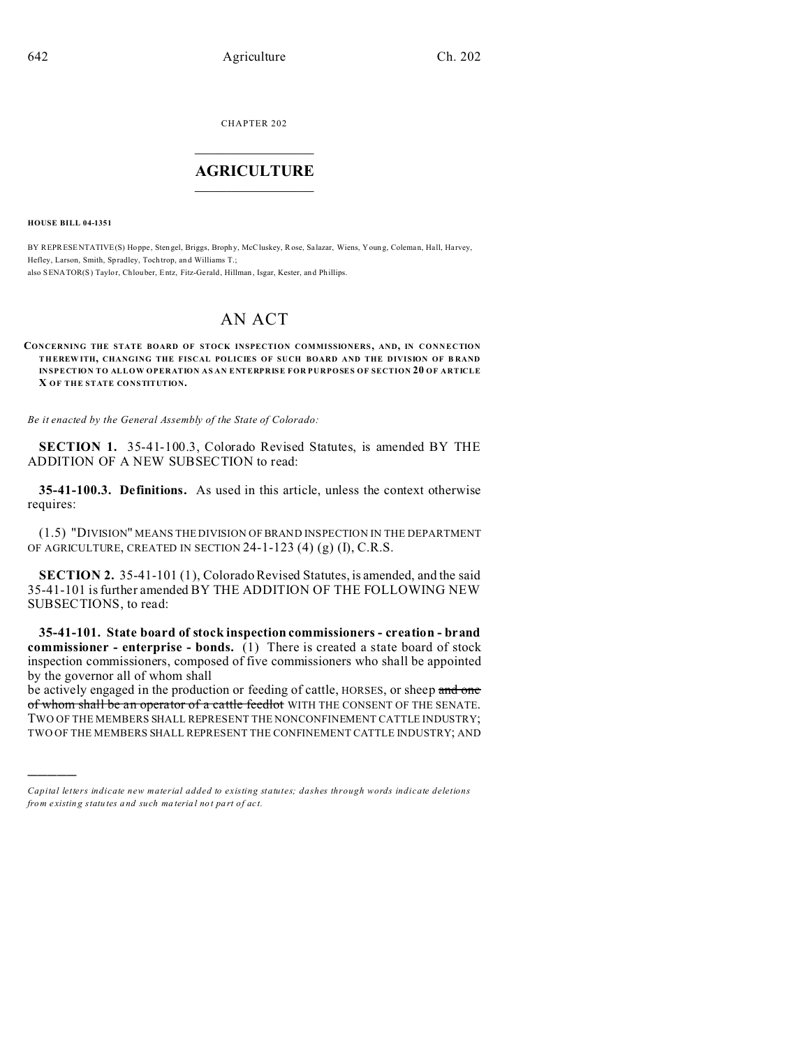CHAPTER 202  $\overline{\phantom{a}}$  , where  $\overline{\phantom{a}}$ 

## **AGRICULTURE**  $\_$   $\_$   $\_$   $\_$   $\_$   $\_$   $\_$   $\_$

**HOUSE BILL 04-1351**

)))))

BY REPRESENTATIVE(S) Hoppe, Stengel, Briggs, Brophy, McCluskey, Rose, Salazar, Wiens, Young, Coleman, Hall, Harvey, Hefley, Larson, Smith, Spradley, Toch trop, an d Williams T.; also SENATOR(S) Taylor, Chlouber, Entz, Fitz-Gerald, Hillman, Isgar, Kester, and Phillips.

# AN ACT

#### **CONCERNING THE STATE BOARD OF STOCK INSPECTION COMMISSIONERS, AND, IN CONNECTION THEREW ITH, CHANGING THE FISCAL POLICIES OF SUCH BOARD AND THE DIVISION OF B RAND INSPECTION TO ALLOW OPERATION AS AN ENTERPRISE FOR PURPOSES OF SECTION 20 OF ARTICLE X OF THE STATE CONSTITUTION.**

*Be it enacted by the General Assembly of the State of Colorado:*

**SECTION 1.** 35-41-100.3, Colorado Revised Statutes, is amended BY THE ADDITION OF A NEW SUBSECTION to read:

**35-41-100.3. Definitions.** As used in this article, unless the context otherwise requires:

(1.5) "DIVISION" MEANS THE DIVISION OF BRAND INSPECTION IN THE DEPARTMENT OF AGRICULTURE, CREATED IN SECTION 24-1-123 (4) (g) (I), C.R.S.

**SECTION 2.** 35-41-101 (1), Colorado Revised Statutes, is amended, and the said 35-41-101 is further amended BY THE ADDITION OF THE FOLLOWING NEW SUBSECTIONS, to read:

**35-41-101. State board of stock inspection commissioners - creation - brand commissioner - enterprise - bonds.** (1) There is created a state board of stock inspection commissioners, composed of five commissioners who shall be appointed by the governor all of whom shall

be actively engaged in the production or feeding of cattle, HORSES, or sheep and one of whom shall be an operator of a cattle feedlot WITH THE CONSENT OF THE SENATE. TWO OF THE MEMBERS SHALL REPRESENT THE NONCONFINEMENT CATTLE INDUSTRY; TWO OF THE MEMBERS SHALL REPRESENT THE CONFINEMENT CATTLE INDUSTRY; AND

*Capital letters indicate new material added to existing statutes; dashes through words indicate deletions from e xistin g statu tes a nd such ma teria l no t pa rt of ac t.*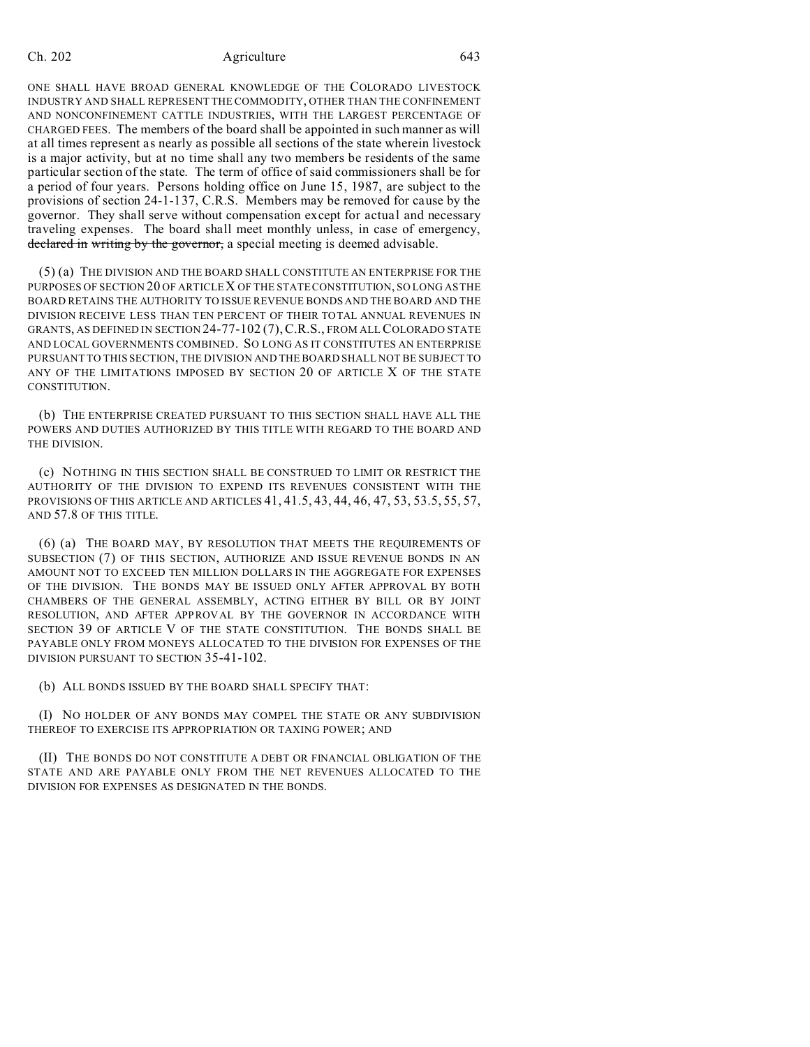ONE SHALL HAVE BROAD GENERAL KNOWLEDGE OF THE COLORADO LIVESTOCK INDUSTRY AND SHALL REPRESENT THE COMMODITY, OTHER THAN THE CONFINEMENT AND NONCONFINEMENT CATTLE INDUSTRIES, WITH THE LARGEST PERCENTAGE OF CHARGED FEES. The members of the board shall be appointed in such manner as will at all times represent as nearly as possible all sections of the state wherein livestock is a major activity, but at no time shall any two members be residents of the same particular section of the state. The term of office of said commissioners shall be for a period of four years. Persons holding office on June 15, 1987, are subject to the provisions of section 24-1-137, C.R.S. Members may be removed for cause by the governor. They shall serve without compensation except for actual and necessary traveling expenses. The board shall meet monthly unless, in case of emergency, declared in writing by the governor, a special meeting is deemed advisable.

(5) (a) THE DIVISION AND THE BOARD SHALL CONSTITUTE AN ENTERPRISE FOR THE PURPOSES OF SECTION 20 OF ARTICLE X OF THE STATE CONSTITUTION, SO LONG AS THE BOARD RETAINS THE AUTHORITY TO ISSUE REVENUE BONDS AND THE BOARD AND THE DIVISION RECEIVE LESS THAN TEN PERCENT OF THEIR TOTAL ANNUAL REVENUES IN GRANTS, AS DEFINED IN SECTION 24-77-102 (7),C.R.S., FROM ALL COLORADO STATE AND LOCAL GOVERNMENTS COMBINED. SO LONG AS IT CONSTITUTES AN ENTERPRISE PURSUANT TO THIS SECTION, THE DIVISION AND THE BOARD SHALL NOT BE SUBJECT TO ANY OF THE LIMITATIONS IMPOSED BY SECTION 20 OF ARTICLE X OF THE STATE CONSTITUTION.

(b) THE ENTERPRISE CREATED PURSUANT TO THIS SECTION SHALL HAVE ALL THE POWERS AND DUTIES AUTHORIZED BY THIS TITLE WITH REGARD TO THE BOARD AND THE DIVISION.

(c) NOTHING IN THIS SECTION SHALL BE CONSTRUED TO LIMIT OR RESTRICT THE AUTHORITY OF THE DIVISION TO EXPEND ITS REVENUES CONSISTENT WITH THE PROVISIONS OF THIS ARTICLE AND ARTICLES 41, 41.5, 43, 44, 46, 47, 53, 53.5, 55, 57, AND 57.8 OF THIS TITLE.

(6) (a) THE BOARD MAY, BY RESOLUTION THAT MEETS THE REQUIREMENTS OF SUBSECTION (7) OF THIS SECTION, AUTHORIZE AND ISSUE REVENUE BONDS IN AN AMOUNT NOT TO EXCEED TEN MILLION DOLLARS IN THE AGGREGATE FOR EXPENSES OF THE DIVISION. THE BONDS MAY BE ISSUED ONLY AFTER APPROVAL BY BOTH CHAMBERS OF THE GENERAL ASSEMBLY, ACTING EITHER BY BILL OR BY JOINT RESOLUTION, AND AFTER APPROVAL BY THE GOVERNOR IN ACCORDANCE WITH SECTION 39 OF ARTICLE V OF THE STATE CONSTITUTION. THE BONDS SHALL BE PAYABLE ONLY FROM MONEYS ALLOCATED TO THE DIVISION FOR EXPENSES OF THE DIVISION PURSUANT TO SECTION 35-41-102.

(b) ALL BONDS ISSUED BY THE BOARD SHALL SPECIFY THAT:

(I) NO HOLDER OF ANY BONDS MAY COMPEL THE STATE OR ANY SUBDIVISION THEREOF TO EXERCISE ITS APPROPRIATION OR TAXING POWER; AND

(II) THE BONDS DO NOT CONSTITUTE A DEBT OR FINANCIAL OBLIGATION OF THE STATE AND ARE PAYABLE ONLY FROM THE NET REVENUES ALLOCATED TO THE DIVISION FOR EXPENSES AS DESIGNATED IN THE BONDS.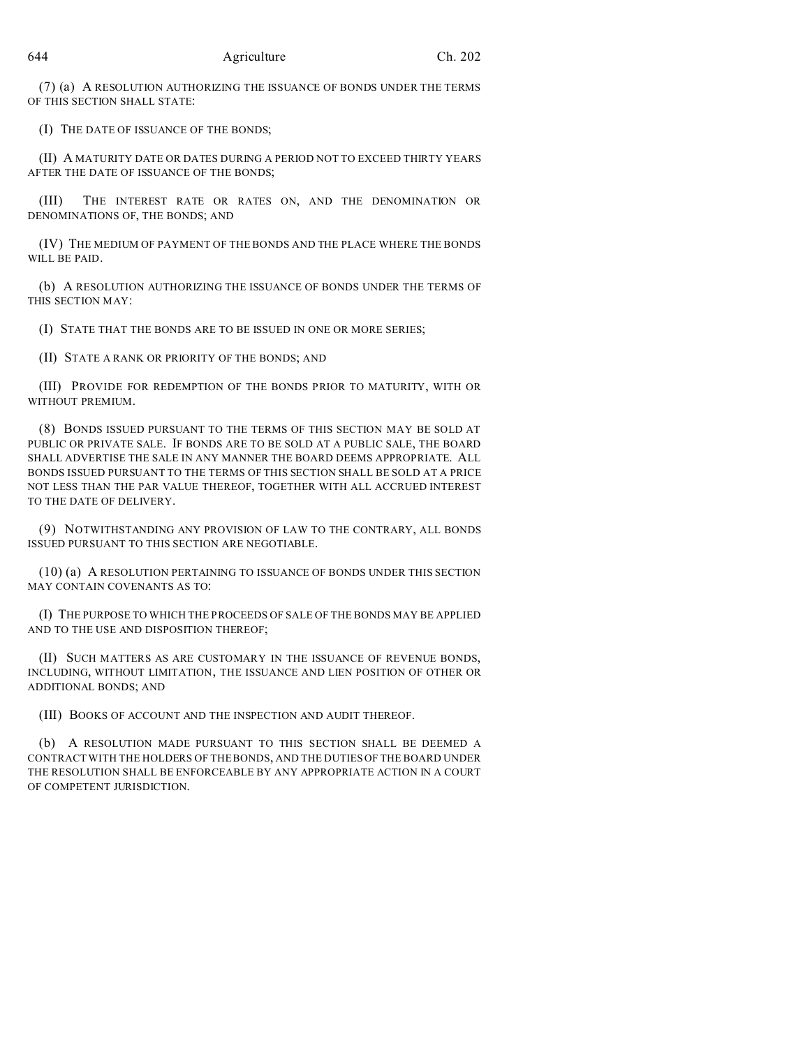(7) (a) A RESOLUTION AUTHORIZING THE ISSUANCE OF BONDS UNDER THE TERMS OF THIS SECTION SHALL STATE:

(I) THE DATE OF ISSUANCE OF THE BONDS;

(II) A MATURITY DATE OR DATES DURING A PERIOD NOT TO EXCEED THIRTY YEARS AFTER THE DATE OF ISSUANCE OF THE BONDS;

(III) THE INTEREST RATE OR RATES ON, AND THE DENOMINATION OR DENOMINATIONS OF, THE BONDS; AND

(IV) THE MEDIUM OF PAYMENT OF THE BONDS AND THE PLACE WHERE THE BONDS WILL BE PAID.

(b) A RESOLUTION AUTHORIZING THE ISSUANCE OF BONDS UNDER THE TERMS OF THIS SECTION MAY:

(I) STATE THAT THE BONDS ARE TO BE ISSUED IN ONE OR MORE SERIES;

(II) STATE A RANK OR PRIORITY OF THE BONDS; AND

(III) PROVIDE FOR REDEMPTION OF THE BONDS PRIOR TO MATURITY, WITH OR WITHOUT PREMIUM.

(8) BONDS ISSUED PURSUANT TO THE TERMS OF THIS SECTION MAY BE SOLD AT PUBLIC OR PRIVATE SALE. IF BONDS ARE TO BE SOLD AT A PUBLIC SALE, THE BOARD SHALL ADVERTISE THE SALE IN ANY MANNER THE BOARD DEEMS APPROPRIATE. ALL BONDS ISSUED PURSUANT TO THE TERMS OF THIS SECTION SHALL BE SOLD AT A PRICE NOT LESS THAN THE PAR VALUE THEREOF, TOGETHER WITH ALL ACCRUED INTEREST TO THE DATE OF DELIVERY.

(9) NOTWITHSTANDING ANY PROVISION OF LAW TO THE CONTRARY, ALL BONDS ISSUED PURSUANT TO THIS SECTION ARE NEGOTIABLE.

(10) (a) A RESOLUTION PERTAINING TO ISSUANCE OF BONDS UNDER THIS SECTION MAY CONTAIN COVENANTS AS TO:

(I) THE PURPOSE TO WHICH THE PROCEEDS OF SALE OF THE BONDS MAY BE APPLIED AND TO THE USE AND DISPOSITION THEREOF;

(II) SUCH MATTERS AS ARE CUSTOMARY IN THE ISSUANCE OF REVENUE BONDS, INCLUDING, WITHOUT LIMITATION, THE ISSUANCE AND LIEN POSITION OF OTHER OR ADDITIONAL BONDS; AND

(III) BOOKS OF ACCOUNT AND THE INSPECTION AND AUDIT THEREOF.

(b) A RESOLUTION MADE PURSUANT TO THIS SECTION SHALL BE DEEMED A CONTRACT WITH THE HOLDERS OF THE BONDS, AND THE DUTIES OF THE BOARD UNDER THE RESOLUTION SHALL BE ENFORCEABLE BY ANY APPROPRIATE ACTION IN A COURT OF COMPETENT JURISDICTION.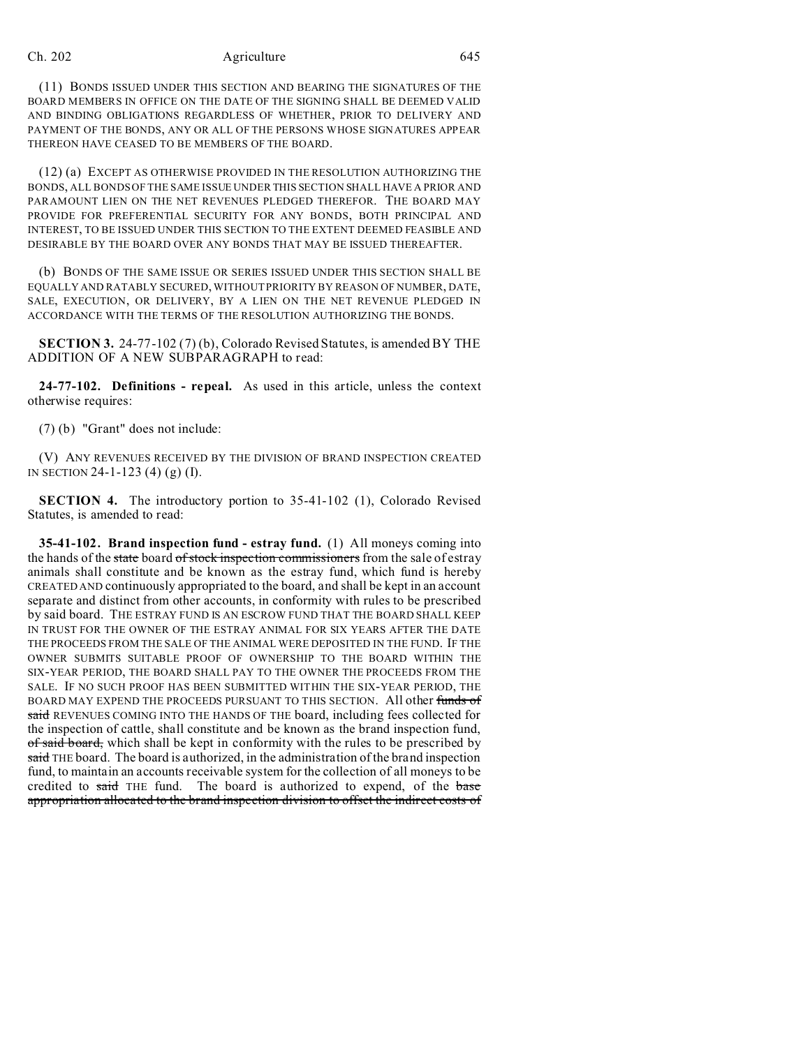(11) BONDS ISSUED UNDER THIS SECTION AND BEARING THE SIGNATURES OF THE BOARD MEMBERS IN OFFICE ON THE DATE OF THE SIGNING SHALL BE DEEMED VALID AND BINDING OBLIGATIONS REGARDLESS OF WHETHER, PRIOR TO DELIVERY AND PAYMENT OF THE BONDS, ANY OR ALL OF THE PERSONS WHOSE SIGNATURES APPEAR THEREON HAVE CEASED TO BE MEMBERS OF THE BOARD.

(12) (a) EXCEPT AS OTHERWISE PROVIDED IN THE RESOLUTION AUTHORIZING THE BONDS, ALL BONDS OF THE SAME ISSUE UNDER THIS SECTION SHALL HAVE A PRIOR AND PARAMOUNT LIEN ON THE NET REVENUES PLEDGED THEREFOR. THE BOARD MAY PROVIDE FOR PREFERENTIAL SECURITY FOR ANY BONDS, BOTH PRINCIPAL AND INTEREST, TO BE ISSUED UNDER THIS SECTION TO THE EXTENT DEEMED FEASIBLE AND DESIRABLE BY THE BOARD OVER ANY BONDS THAT MAY BE ISSUED THEREAFTER.

(b) BONDS OF THE SAME ISSUE OR SERIES ISSUED UNDER THIS SECTION SHALL BE EQUALLY AND RATABLY SECURED, WITHOUT PRIORITY BY REASON OF NUMBER, DATE, SALE, EXECUTION, OR DELIVERY, BY A LIEN ON THE NET REVENUE PLEDGED IN ACCORDANCE WITH THE TERMS OF THE RESOLUTION AUTHORIZING THE BONDS.

**SECTION 3.** 24-77-102 (7) (b), Colorado Revised Statutes, is amended BY THE ADDITION OF A NEW SUBPARAGRAPH to read:

**24-77-102. Definitions - repeal.** As used in this article, unless the context otherwise requires:

(7) (b) "Grant" does not include:

(V) ANY REVENUES RECEIVED BY THE DIVISION OF BRAND INSPECTION CREATED IN SECTION 24-1-123 (4) (g) (I).

**SECTION 4.** The introductory portion to 35-41-102 (1), Colorado Revised Statutes, is amended to read:

**35-41-102. Brand inspection fund - estray fund.** (1) All moneys coming into the hands of the state board of stock inspection commissioners from the sale of estray animals shall constitute and be known as the estray fund, which fund is hereby CREATED AND continuously appropriated to the board, and shall be kept in an account separate and distinct from other accounts, in conformity with rules to be prescribed by said board. THE ESTRAY FUND IS AN ESCROW FUND THAT THE BOARD SHALL KEEP IN TRUST FOR THE OWNER OF THE ESTRAY ANIMAL FOR SIX YEARS AFTER THE DATE THE PROCEEDS FROM THE SALE OF THE ANIMAL WERE DEPOSITED IN THE FUND. IF THE OWNER SUBMITS SUITABLE PROOF OF OWNERSHIP TO THE BOARD WITHIN THE SIX-YEAR PERIOD, THE BOARD SHALL PAY TO THE OWNER THE PROCEEDS FROM THE SALE. IF NO SUCH PROOF HAS BEEN SUBMITTED WITHIN THE SIX-YEAR PERIOD, THE BOARD MAY EXPEND THE PROCEEDS PURSUANT TO THIS SECTION. All other funds of said REVENUES COMING INTO THE HANDS OF THE board, including fees collected for the inspection of cattle, shall constitute and be known as the brand inspection fund, of said board, which shall be kept in conformity with the rules to be prescribed by said THE board. The board is authorized, in the administration of the brand inspection fund, to maintain an accounts receivable system for the collection of all moneys to be credited to said THE fund. The board is authorized to expend, of the base appropriation allocated to the brand inspection division to offset the indirect costs of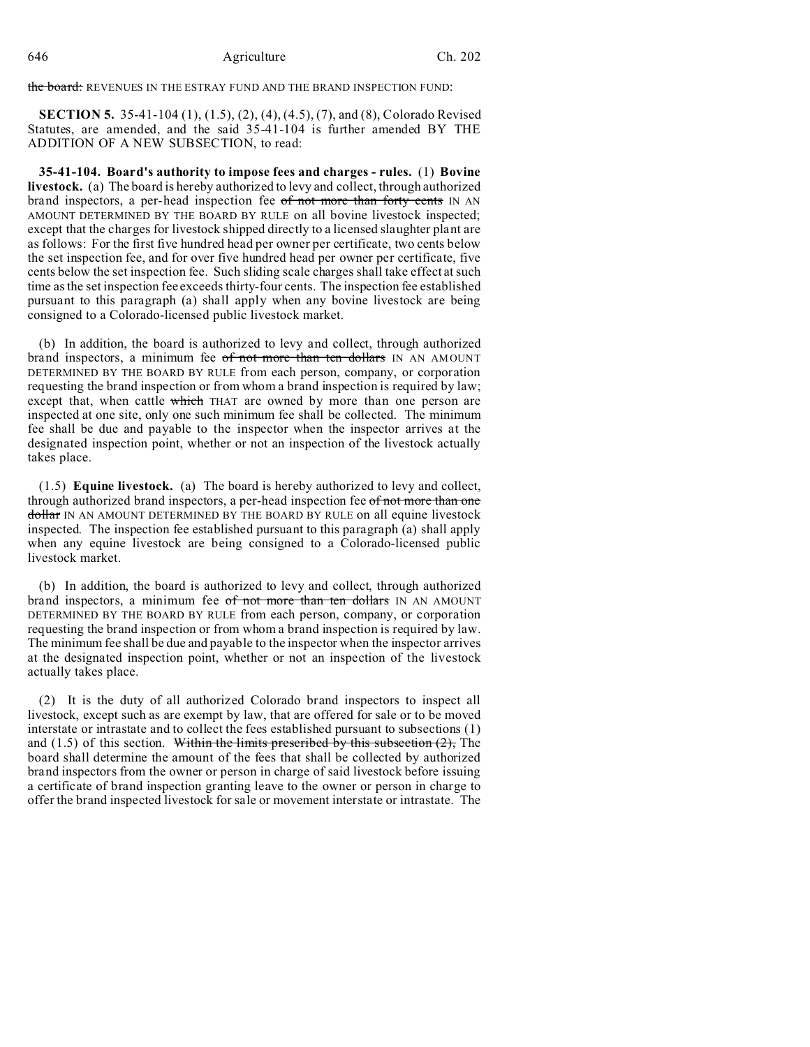the board: REVENUES IN THE ESTRAY FUND AND THE BRAND INSPECTION FUND:

**SECTION 5.** 35-41-104 (1), (1.5), (2), (4), (4.5), (7), and (8), Colorado Revised Statutes, are amended, and the said 35-41-104 is further amended BY THE ADDITION OF A NEW SUBSECTION, to read:

**35-41-104. Board's authority to impose fees and charges - rules.** (1) **Bovine livestock.** (a) The board is hereby authorized to levy and collect, through authorized brand inspectors, a per-head inspection fee of not more than forty cents IN AN AMOUNT DETERMINED BY THE BOARD BY RULE on all bovine livestock inspected; except that the charges for livestock shipped directly to a licensed slaughter plant are as follows: For the first five hundred head per owner per certificate, two cents below the set inspection fee, and for over five hundred head per owner per certificate, five cents below the set inspection fee. Such sliding scale charges shall take effect at such time as the set inspection fee exceeds thirty-four cents. The inspection fee established pursuant to this paragraph (a) shall apply when any bovine livestock are being consigned to a Colorado-licensed public livestock market.

(b) In addition, the board is authorized to levy and collect, through authorized brand inspectors, a minimum fee of not more than ten dollars IN AN AMOUNT DETERMINED BY THE BOARD BY RULE from each person, company, or corporation requesting the brand inspection or from whom a brand inspection is required by law; except that, when cattle which THAT are owned by more than one person are inspected at one site, only one such minimum fee shall be collected. The minimum fee shall be due and payable to the inspector when the inspector arrives at the designated inspection point, whether or not an inspection of the livestock actually takes place.

(1.5) **Equine livestock.** (a) The board is hereby authorized to levy and collect, through authorized brand inspectors, a per-head inspection fee of not more than one dollar IN AN AMOUNT DETERMINED BY THE BOARD BY RULE on all equine livestock inspected. The inspection fee established pursuant to this paragraph (a) shall apply when any equine livestock are being consigned to a Colorado-licensed public livestock market.

(b) In addition, the board is authorized to levy and collect, through authorized brand inspectors, a minimum fee of not more than ten dollars IN AN AMOUNT DETERMINED BY THE BOARD BY RULE from each person, company, or corporation requesting the brand inspection or from whom a brand inspection is required by law. The minimum fee shall be due and payable to the inspector when the inspector arrives at the designated inspection point, whether or not an inspection of the livestock actually takes place.

(2) It is the duty of all authorized Colorado brand inspectors to inspect all livestock, except such as are exempt by law, that are offered for sale or to be moved interstate or intrastate and to collect the fees established pursuant to subsections (1) and  $(1.5)$  of this section. Within the limits prescribed by this subsection  $(2)$ , The board shall determine the amount of the fees that shall be collected by authorized brand inspectors from the owner or person in charge of said livestock before issuing a certificate of brand inspection granting leave to the owner or person in charge to offer the brand inspected livestock for sale or movement interstate or intrastate. The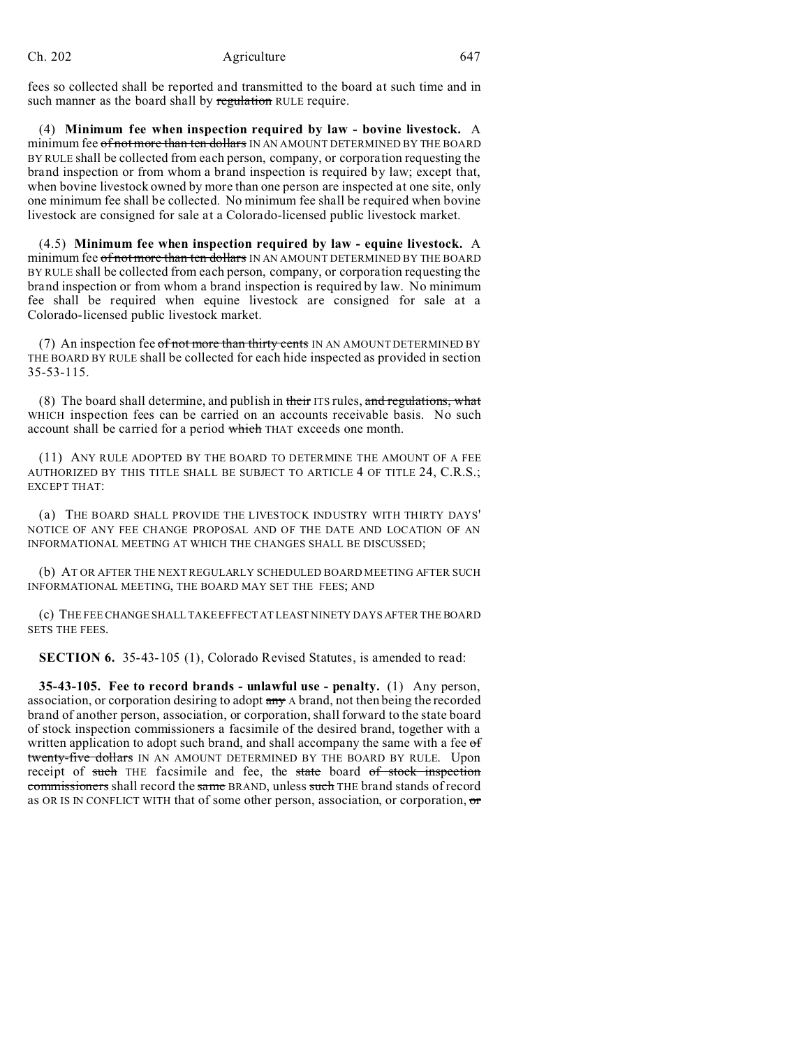fees so collected shall be reported and transmitted to the board at such time and in such manner as the board shall by regulation RULE require.

(4) **Minimum fee when inspection required by law - bovine livestock.** A minimum fee of not more than ten dollars IN AN AMOUNT DETERMINED BY THE BOARD BY RULE shall be collected from each person, company, or corporation requesting the brand inspection or from whom a brand inspection is required by law; except that, when bovine livestock owned by more than one person are inspected at one site, only one minimum fee shall be collected. No minimum fee shall be required when bovine livestock are consigned for sale at a Colorado-licensed public livestock market.

(4.5) **Minimum fee when inspection required by law - equine livestock.** A minimum fee of not more than ten dollars IN AN AMOUNT DETERMINED BY THE BOARD BY RULE shall be collected from each person, company, or corporation requesting the brand inspection or from whom a brand inspection is required by law. No minimum fee shall be required when equine livestock are consigned for sale at a Colorado-licensed public livestock market.

(7) An inspection fee  $of$  not more than thirty cents IN AN AMOUNT DETERMINED BY THE BOARD BY RULE shall be collected for each hide inspected as provided in section 35-53-115.

(8) The board shall determine, and publish in their ITS rules, and regulations, what WHICH inspection fees can be carried on an accounts receivable basis. No such account shall be carried for a period which THAT exceeds one month.

(11) ANY RULE ADOPTED BY THE BOARD TO DETERMINE THE AMOUNT OF A FEE AUTHORIZED BY THIS TITLE SHALL BE SUBJECT TO ARTICLE 4 OF TITLE 24, C.R.S.; EXCEPT THAT:

(a) THE BOARD SHALL PROVIDE THE LIVESTOCK INDUSTRY WITH THIRTY DAYS' NOTICE OF ANY FEE CHANGE PROPOSAL AND OF THE DATE AND LOCATION OF AN INFORMATIONAL MEETING AT WHICH THE CHANGES SHALL BE DISCUSSED;

(b) AT OR AFTER THE NEXT REGULARLY SCHEDULED BOARD MEETING AFTER SUCH INFORMATIONAL MEETING, THE BOARD MAY SET THE FEES; AND

(c) THE FEE CHANGE SHALL TAKE EFFECT AT LEAST NINETY DAYS AFTER THE BOARD SETS THE FEES.

**SECTION 6.** 35-43-105 (1), Colorado Revised Statutes, is amended to read:

**35-43-105. Fee to record brands - unlawful use - penalty.** (1) Any person, association, or corporation desiring to adopt any A brand, not then being the recorded brand of another person, association, or corporation, shall forward to the state board of stock inspection commissioners a facsimile of the desired brand, together with a written application to adopt such brand, and shall accompany the same with a fee of twenty-five dollars IN AN AMOUNT DETERMINED BY THE BOARD BY RULE. Upon receipt of such THE facsimile and fee, the state board of stock inspection commissioners shall record the same BRAND, unless such THE brand stands of record as OR IS IN CONFLICT WITH that of some other person, association, or corporation, or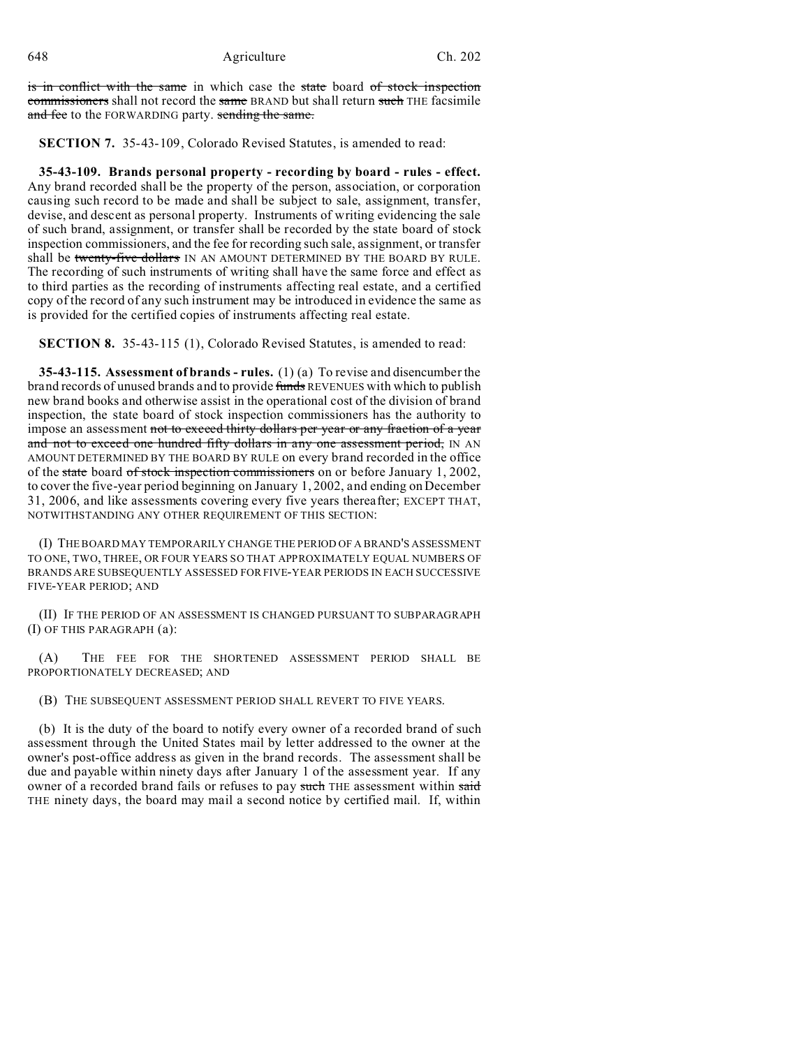648 Agriculture Ch. 202

is in conflict with the same in which case the state board of stock inspection commissioners shall not record the same BRAND but shall return such THE facsimile and fee to the FORWARDING party. sending the same.

**SECTION 7.** 35-43-109, Colorado Revised Statutes, is amended to read:

**35-43-109. Brands personal property - recording by board - rules - effect.** Any brand recorded shall be the property of the person, association, or corporation causing such record to be made and shall be subject to sale, assignment, transfer, devise, and descent as personal property. Instruments of writing evidencing the sale of such brand, assignment, or transfer shall be recorded by the state board of stock inspection commissioners, and the fee for recording such sale, assignment, or transfer shall be twenty-five dollars IN AN AMOUNT DETERMINED BY THE BOARD BY RULE. The recording of such instruments of writing shall have the same force and effect as to third parties as the recording of instruments affecting real estate, and a certified copy of the record of any such instrument may be introduced in evidence the same as is provided for the certified copies of instruments affecting real estate.

**SECTION 8.** 35-43-115 (1), Colorado Revised Statutes, is amended to read:

**35-43-115. Assessment of brands - rules.** (1) (a) To revise and disencumber the brand records of unused brands and to provide funds REVENUES with which to publish new brand books and otherwise assist in the operational cost of the division of brand inspection, the state board of stock inspection commissioners has the authority to impose an assessment not to exceed thirty dollars per year or any fraction of a year and not to exceed one hundred fifty dollars in any one assessment period, IN AN AMOUNT DETERMINED BY THE BOARD BY RULE on every brand recorded in the office of the state board of stock inspection commissioners on or before January 1, 2002, to cover the five-year period beginning on January 1, 2002, and ending on December 31, 2006, and like assessments covering every five years thereafter; EXCEPT THAT, NOTWITHSTANDING ANY OTHER REQUIREMENT OF THIS SECTION:

(I) THE BOARD MAY TEMPORARILY CHANGE THE PERIOD OF A BRAND'S ASSESSMENT TO ONE, TWO, THREE, OR FOUR YEARS SO THAT APPROXIMATELY EQUAL NUMBERS OF BRANDS ARE SUBSEQUENTLY ASSESSED FOR FIVE-YEAR PERIODS IN EACH SUCCESSIVE FIVE-YEAR PERIOD; AND

(II) IF THE PERIOD OF AN ASSESSMENT IS CHANGED PURSUANT TO SUBPARAGRAPH (I) OF THIS PARAGRAPH (a):

(A) THE FEE FOR THE SHORTENED ASSESSMENT PERIOD SHALL BE PROPORTIONATELY DECREASED; AND

(B) THE SUBSEQUENT ASSESSMENT PERIOD SHALL REVERT TO FIVE YEARS.

(b) It is the duty of the board to notify every owner of a recorded brand of such assessment through the United States mail by letter addressed to the owner at the owner's post-office address as given in the brand records. The assessment shall be due and payable within ninety days after January 1 of the assessment year. If any owner of a recorded brand fails or refuses to pay such THE assessment within said THE ninety days, the board may mail a second notice by certified mail. If, within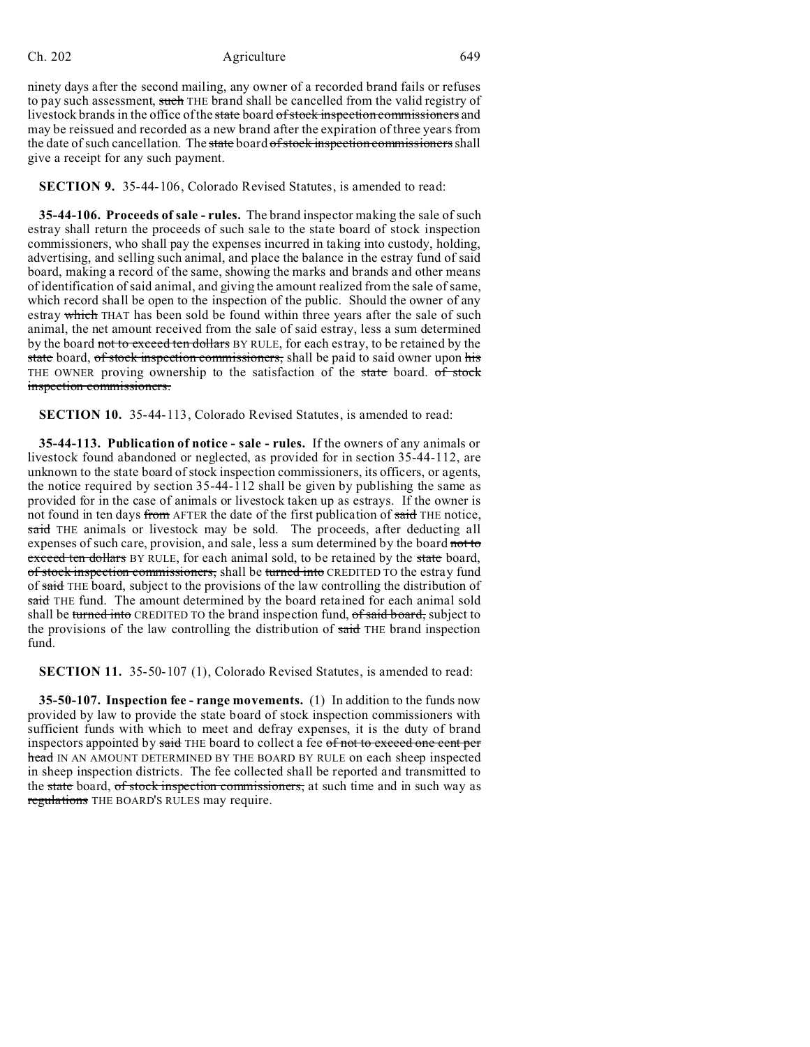ninety days after the second mailing, any owner of a recorded brand fails or refuses to pay such assessment, such THE brand shall be cancelled from the valid registry of livestock brands in the office of the state board of stock inspection commissioners and may be reissued and recorded as a new brand after the expiration of three years from the date of such cancellation. The state board of stock inspection commissioners shall give a receipt for any such payment.

**SECTION 9.** 35-44-106, Colorado Revised Statutes, is amended to read:

**35-44-106. Proceeds of sale - rules.** The brand inspector making the sale of such estray shall return the proceeds of such sale to the state board of stock inspection commissioners, who shall pay the expenses incurred in taking into custody, holding, advertising, and selling such animal, and place the balance in the estray fund of said board, making a record of the same, showing the marks and brands and other means of identification of said animal, and giving the amount realized from the sale of same, which record shall be open to the inspection of the public. Should the owner of any estray which THAT has been sold be found within three years after the sale of such animal, the net amount received from the sale of said estray, less a sum determined by the board not to exceed ten dollars BY RULE, for each estray, to be retained by the state board, of stock inspection commissioners, shall be paid to said owner upon his THE OWNER proving ownership to the satisfaction of the state board. of stock inspection commissioners.

**SECTION 10.** 35-44-113, Colorado Revised Statutes, is amended to read:

**35-44-113. Publication of notice - sale - rules.** If the owners of any animals or livestock found abandoned or neglected, as provided for in section 35-44-112, are unknown to the state board of stock inspection commissioners, its officers, or agents, the notice required by section 35-44-112 shall be given by publishing the same as provided for in the case of animals or livestock taken up as estrays. If the owner is not found in ten days from AFTER the date of the first publication of said THE notice, said THE animals or livestock may be sold. The proceeds, after deducting all expenses of such care, provision, and sale, less a sum determined by the board not to exceed ten dollars BY RULE, for each animal sold, to be retained by the state board, of stock inspection commissioners, shall be turned into CREDITED TO the estray fund of said THE board, subject to the provisions of the law controlling the distribution of said THE fund. The amount determined by the board retained for each animal sold shall be turned into CREDITED TO the brand inspection fund, of said board, subject to the provisions of the law controlling the distribution of said THE brand inspection fund.

**SECTION 11.** 35-50-107 (1), Colorado Revised Statutes, is amended to read:

**35-50-107. Inspection fee - range movements.** (1) In addition to the funds now provided by law to provide the state board of stock inspection commissioners with sufficient funds with which to meet and defray expenses, it is the duty of brand inspectors appointed by said THE board to collect a fee of not to exceed one cent per head IN AN AMOUNT DETERMINED BY THE BOARD BY RULE on each sheep inspected in sheep inspection districts. The fee collected shall be reported and transmitted to the state board, of stock inspection commissioners, at such time and in such way as regulations THE BOARD'S RULES may require.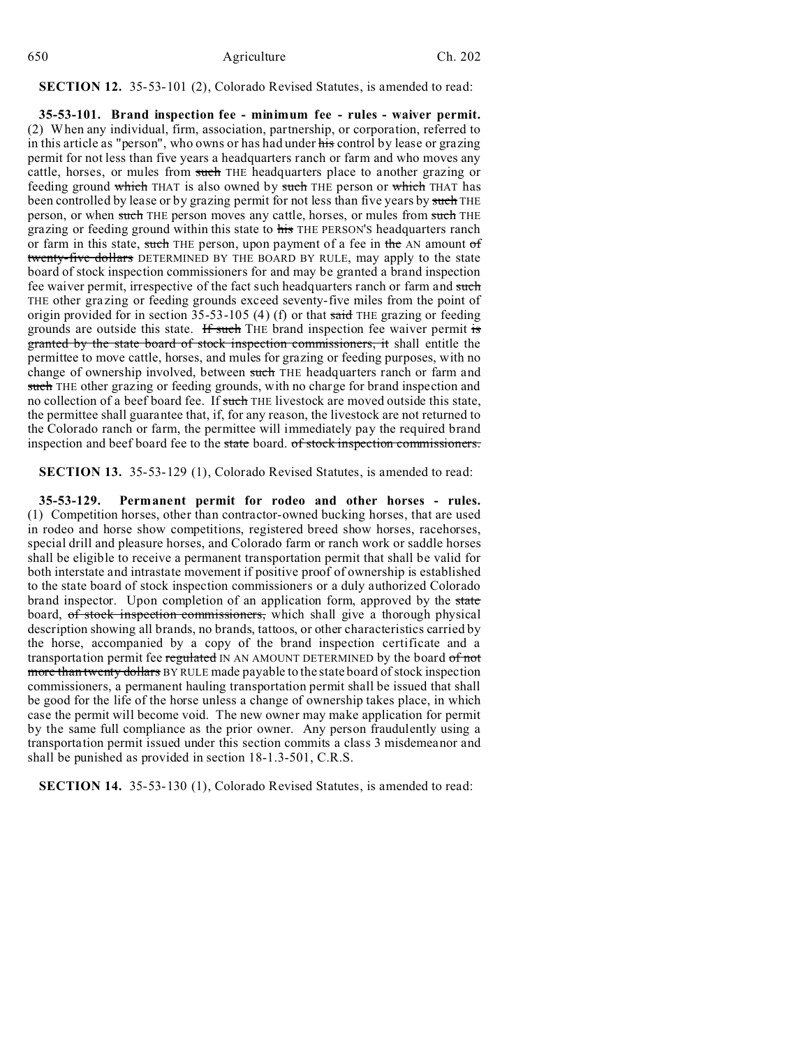# **SECTION 12.** 35-53-101 (2), Colorado Revised Statutes, is amended to read:

**35-53-101. Brand inspection fee - minimum fee - rules - waiver permit.** (2) When any individual, firm, association, partnership, or corporation, referred to in this article as "person", who owns or has had under his control by lease or grazing permit for not less than five years a headquarters ranch or farm and who moves any cattle, horses, or mules from such THE headquarters place to another grazing or feeding ground which THAT is also owned by such THE person or which THAT has been controlled by lease or by grazing permit for not less than five years by such THE person, or when such THE person moves any cattle, horses, or mules from such THE grazing or feeding ground within this state to his THE PERSON'S headquarters ranch or farm in this state, such THE person, upon payment of a fee in the AN amount of twenty-five dollars DETERMINED BY THE BOARD BY RULE, may apply to the state board of stock inspection commissioners for and may be granted a brand inspection fee waiver permit, irrespective of the fact such headquarters ranch or farm and such THE other grazing or feeding grounds exceed seventy-five miles from the point of origin provided for in section  $35-53-105$  (4) (f) or that said THE grazing or feeding grounds are outside this state. If such THE brand inspection fee waiver permit is granted by the state board of stock inspection commissioners, it shall entitle the permittee to move cattle, horses, and mules for grazing or feeding purposes, with no change of ownership involved, between such THE headquarters ranch or farm and such THE other grazing or feeding grounds, with no charge for brand inspection and no collection of a beef board fee. If such THE livestock are moved outside this state, the permittee shall guarantee that, if, for any reason, the livestock are not returned to the Colorado ranch or farm, the permittee will immediately pay the required brand inspection and beef board fee to the state board. of stock inspection commissioners.

**SECTION 13.** 35-53-129 (1), Colorado Revised Statutes, is amended to read:

**35-53-129. Permanent permit for rodeo and other horses - rules.** (1) Competition horses, other than contractor-owned bucking horses, that are used in rodeo and horse show competitions, registered breed show horses, racehorses, special drill and pleasure horses, and Colorado farm or ranch work or saddle horses shall be eligible to receive a permanent transportation permit that shall be valid for both interstate and intrastate movement if positive proof of ownership is established to the state board of stock inspection commissioners or a duly authorized Colorado brand inspector. Upon completion of an application form, approved by the state board, of stock inspection commissioners, which shall give a thorough physical description showing all brands, no brands, tattoos, or other characteristics carried by the horse, accompanied by a copy of the brand inspection certificate and a transportation permit fee regulated IN AN AMOUNT DETERMINED by the board of not more than twenty dollars BY RULE made payable to the state board of stock inspection commissioners, a permanent hauling transportation permit shall be issued that shall be good for the life of the horse unless a change of ownership takes place, in which case the permit will become void. The new owner may make application for permit by the same full compliance as the prior owner. Any person fraudulently using a transportation permit issued under this section commits a class 3 misdemeanor and shall be punished as provided in section 18-1.3-501, C.R.S.

**SECTION 14.** 35-53-130 (1), Colorado Revised Statutes, is amended to read: